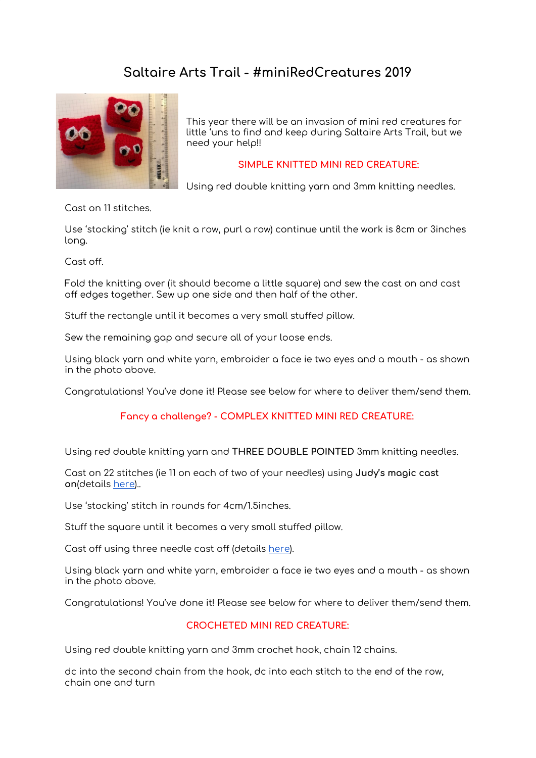# **Saltaire Arts Trail - #miniRedCreatures 2019**



This year there will be an invasion of mini red creatures for little 'uns to find and keep during Saltaire Arts Trail, but we need your help!!

#### **SIMPLE KNITTED MINI RED CREATURE:**

Using red double knitting yarn and 3mm knitting needles.

### Cast on 11 stitches.

Use 'stocking' stitch (ie knit a row, purl a row) continue until the work is 8cm or 3inches long.

Cast off.

Fold the knitting over (it should become a little square) and sew the cast on and cast off edges together. Sew up one side and then half of the other.

Stuff the rectangle until it becomes a very small stuffed pillow.

Sew the remaining gap and secure all of your loose ends.

Using black yarn and white yarn, embroider a face ie two eyes and a mouth - as shown in the photo above.

Congratulations! You've done it! Please see below for where to deliver them/send them.

## **Fancy a challenge? - COMPLEX KNITTED MINI RED CREATURE:**

Using red double knitting yarn and **THREE DOUBLE POINTED** 3mm knitting needles.

Cast on 22 stitches (ie 11 on each of two of your needles) using **Judy's magic cast on**(details [here\)](https://www.youtube.com/watch?v=1pmxRDZ-cwo)..

Use 'stocking' stitch in rounds for 4cm/1.5inches.

Stuff the square until it becomes a very small stuffed pillow.

Cast off using three needle cast off (details [here\)](https://www.youtube.com/watch?v=Ph93jWSzTa0).

Using black yarn and white yarn, embroider a face ie two eyes and a mouth - as shown in the photo above.

Congratulations! You've done it! Please see below for where to deliver them/send them.

## **CROCHETED MINI RED CREATURE:**

Using red double knitting yarn and 3mm crochet hook, chain 12 chains.

dc into the second chain from the hook, dc into each stitch to the end of the row, chain one and turn